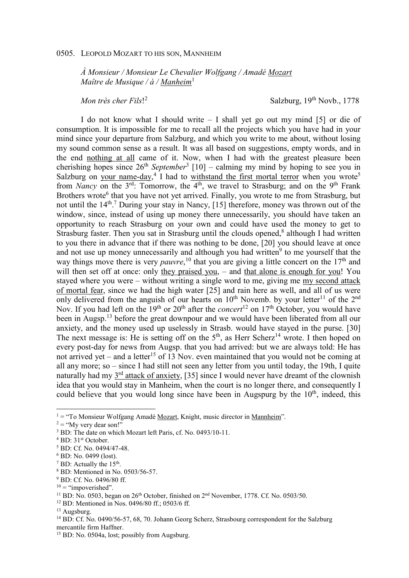## 0505. LEOPOLD MOZART TO HIS SON, MANNHEIM

*À Monsieur / Monsieur Le Chevalier Wolfgang / Amadé Mozart Maître de Musique / à / Manheim*<sup>1</sup>

*Mon très cher Fils*! 2

Salzburg,  $19<sup>th</sup>$  Novb.,  $1778$ 

I do not know what I should write – I shall yet go out my mind [5] or die of consumption. It is impossible for me to recall all the projects which you have had in your mind since your departure from Salzburg, and which you write to me about, without losing my sound common sense as a result. It was all based on suggestions, empty words, and in the end nothing at all came of it. Now, when I had with the greatest pleasure been cherishing hopes since 26<sup>th</sup> *September*<sup>3</sup> [10] – calming my mind by hoping to see you in Salzburg on your name-day,<sup>4</sup> I had to withstand the first mortal terror when you wrote<sup>5</sup> from *Nancy* on the 3<sup>rd</sup>: Tomorrow, the 4<sup>th</sup>, we travel to Strasburg; and on the 9<sup>th</sup> Frank Brothers wrote<sup>6</sup> that you have not yet arrived. Finally, you wrote to me from Strasburg, but not until the 14<sup>th</sup>.<sup>7</sup> During your stay in Nancy, [15] therefore, money was thrown out of the window, since, instead of using up money there unnecessarily, you should have taken an opportunity to reach Strasburg on your own and could have used the money to get to Strasburg faster. Then you sat in Strasburg until the clouds opened,<sup>8</sup> although I had written to you there in advance that if there was nothing to be done, [20] you should leave at once and not use up money unnecessarily and although you had written<sup>9</sup> to me yourself that the way things move there is very *pauvre*,<sup>10</sup> that you are giving a little concert on the 17<sup>th</sup> and will then set off at once: only they praised you, – and that alone is enough for you! You stayed where you were – without writing a single word to me, giving me my second attack of mortal fear, since we had the high water [25] and rain here as well, and all of us were only delivered from the anguish of our hearts on  $10^{th}$  Novemb. by your letter<sup>11</sup> of the  $2^{nd}$ Nov. If you had left on the 19<sup>th</sup> or 20<sup>th</sup> after the *concert*<sup>12</sup> on 17<sup>th</sup> October, you would have been in Augsp.<sup>13</sup> before the great downpour and we would have been liberated from all our anxiety, and the money used up uselessly in Strasb. would have stayed in the purse. [30] The next message is: He is setting off on the  $5<sup>th</sup>$ , as Herr Scherz<sup>14</sup> wrote. I then hoped on every post-day for news from Augsp. that you had arrived: but we are always told: He has not arrived yet – and a letter<sup>15</sup> of 13 Nov. even maintained that you would not be coming at all any more; so – since I had still not seen any letter from you until today, the 19th, I quite naturally had my 3<sup>rd</sup> attack of anxiety, [35] since I would never have dreamt of the clownish idea that you would stay in Manheim, when the court is no longer there, and consequently I could believe that you would long since have been in Augspurg by the  $10<sup>th</sup>$ , indeed, this

- 8 BD: Mentioned in No. 0503/56-57.
- <sup>9</sup> BD: Cf. No. 0496/80 ff.

<sup>&</sup>lt;sup>1</sup> = "To Monsieur Wolfgang Amadé <u>Mozart</u>, Knight, music director in <u>Mannheim</u>".

 $2 =$  "My very dear son!"

<sup>&</sup>lt;sup>3</sup> BD: The date on which Mozart left Paris, cf. No. 0493/10-11.

<sup>&</sup>lt;sup>4</sup> BD: 31<sup>st</sup> October.

<sup>5</sup> BD: Cf. No. 0494/47-48.

<sup>6</sup> BD: No. 0499 (lost).

 $^7$  BD: Actually the 15<sup>th</sup>.

 $10 =$  "impoverished".

<sup>&</sup>lt;sup>11</sup> BD: No. 0503, began on  $26<sup>th</sup>$  October, finished on  $2<sup>nd</sup>$  November, 1778. Cf. No. 0503/50.

<sup>12</sup> BD: Mentioned in Nos. 0496/80 ff.; 0503/6 ff.

<sup>&</sup>lt;sup>13</sup> Augsburg.

<sup>&</sup>lt;sup>14</sup> BD: Cf. No. 0490/56-57, 68, 70. Johann Georg Scherz, Strasbourg correspondent for the Salzburg mercantile firm Haffner.

<sup>&</sup>lt;sup>15</sup> BD: No. 0504a, lost; possibly from Augsburg.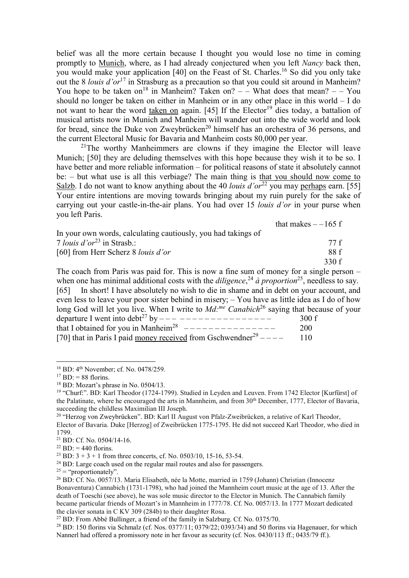belief was all the more certain because I thought you would lose no time in coming promptly to Munich, where, as I had already conjectured when you left *Nancy* back then, you would make your application [40] on the Feast of St. Charles.<sup>16</sup> So did you only take out the 8 *louis d'or*<sup>17</sup> in Strasburg as a precaution so that you could sit around in Manheim? You hope to be taken on<sup>18</sup> in Manheim? Taken on?  $-$  – What does that mean?  $-$  – You should no longer be taken on either in Manheim or in any other place in this world – I do not want to hear the word taken on again. [45] If the Elector<sup>19</sup> dies today, a battalion of musical artists now in Munich and Manheim will wander out into the wide world and look for bread, since the Duke von Zweybrücken<sup>20</sup> himself has an orchestra of 36 persons, and the current Electoral Music for Bavaria and Manheim costs 80,000 per year.

<sup>21</sup>The worthy Manheimmers are clowns if they imagine the Elector will leave Munich; [50] they are deluding themselves with this hope because they wish it to be so. I have better and more reliable information – for political reasons of state it absolutely cannot be: – but what use is all this verbiage? The main thing is that you should now come to Salzb. I do not want to know anything about the 40 *louis d'or*<sup>22</sup> you may perhaps earn. [55] Your entire intentions are moving towards bringing about my ruin purely for the sake of carrying out your castle-in-the-air plans. You had over 15 *louis d'or* in your purse when you left Paris.

that makes  $-165$  f

| In your own words, calculating cautiously, you had takings of                                                                                                                                                                |       |
|------------------------------------------------------------------------------------------------------------------------------------------------------------------------------------------------------------------------------|-------|
| 7 <i>louis d'or</i> <sup>23</sup> in Strasb.:                                                                                                                                                                                | 77 f  |
| [60] from Herr Scherz 8 <i>louis d'or</i>                                                                                                                                                                                    | 88 f  |
|                                                                                                                                                                                                                              | 330 f |
| $T1$ and $T1$ and $T1$ and $T1$ and $T1$ and $T1$ and $T1$ and $T1$ and $T1$ and $T1$ and $T1$ and $T1$ and $T1$ and $T1$ and $T1$ and $T1$ and $T1$ and $T1$ and $T1$ and $T1$ and $T1$ and $T1$ and $T1$ and $T1$ and $T1$ |       |

The coach from Paris was paid for. This is now a fine sum of money for a single person – when one has minimal additional costs with the *diligence*, <sup>24</sup> *à proportion*<sup>25</sup>, needless to say. [65] In short! I have absolutely no wish to die in shame and in debt on your account, and even less to leave your poor sister behind in misery; – You have as little idea as I do of how long God will let you live. When I write to *Md*:<sup>*me Canabich*<sup>26</sup> saying that because of your</sup> departure I went into  $debt^{27}$  by  $--------------- -$  300 f that I obtained for you in Manheim<sup>28</sup>  $---------------$  200 [70] that in Paris I paid money received from Gschwendner<sup>29</sup> – – – – – 110

 $\overline{a}$ 

<sup>21</sup> BD: Cf. No. 0504/14-16.

- $24$  BD: Large coach used on the regular mail routes and also for passengers.
- $25 =$  "proportionately".

<sup>&</sup>lt;sup>16</sup> BD: 4<sup>th</sup> November; cf. No. 0478/259.

 $^{17}$  BD: = 88 florins.

<sup>18</sup> BD: Mozart's phrase in No. 0504/13.

<sup>&</sup>lt;sup>19</sup> "Churf:". BD: Karl Theodor (1724-1799). Studied in Leyden and Leuven. From 1742 Elector [Kurfürst] of the Palatinate, where he encouraged the arts in Mannheim, and from 30<sup>th</sup> December, 1777, Elector of Bavaria, succeeding the childless Maximilian III Joseph.

<sup>&</sup>lt;sup>20</sup> "Herzog von Zweybrücken". BD: Karl II August von Pfalz-Zweibrücken, a relative of Karl Theodor,

Elector of Bavaria. Duke [Herzog] of Zweibrücken 1775-1795. He did not succeed Karl Theodor, who died in 1799.

 $^{22}$  BD: = 440 florins.

<sup>&</sup>lt;sup>23</sup> BD:  $3 + 3 + 1$  from three concerts, cf. No. 0503/10, 15-16, 53-54.

<sup>&</sup>lt;sup>26</sup> BD: Cf. No. 0057/13. Maria Elisabeth, née la Motte, married in 1759 (Johann) Christian (Innocenz Bonaventura) Cannabich (1731-1798), who had joined the Mannheim court music at the age of 13. After the death of Toeschi (see above), he was sole music director to the Elector in Munich. The Cannabich family became particular friends of Mozart's in Mannheim in 1777/78. Cf. No. 0057/13. In 1777 Mozart dedicated the clavier sonata in C KV 309 (284b) to their daughter Rosa.

<sup>27</sup> BD: From Abbé Bullinger, a friend of the family in Salzburg. Cf. No. 0375/70.

 $28$  BD: 150 florins via Schmalz (cf. Nos. 0377/11; 0379/22; 0393/34) and 50 florins via Hagenauer, for which Nannerl had offered a promissory note in her favour as security (cf. Nos. 0430/113 ff.; 0435/79 ff.).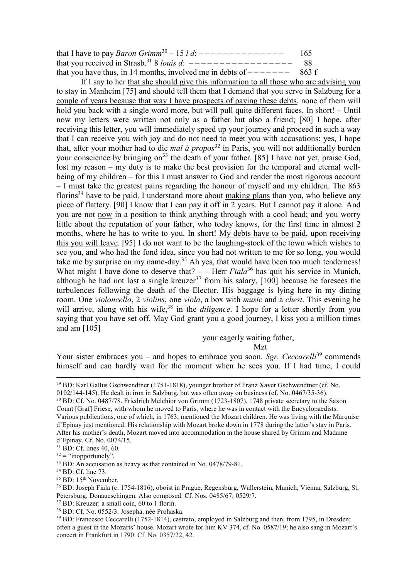| that I have to pay <i>Baron Grimm</i> <sup>30</sup> – 15 <i>l d</i> : $---------------$ | 165   |
|-----------------------------------------------------------------------------------------|-------|
| that you received in Strasb. <sup>31</sup> 8 <i>louis d</i> : $---------------------$   | -88   |
| that you have thus, in 14 months, involved me in debts of $------$                      | 863 f |

If I say to her that she should give this information to all those who are advising you to stay in Manheim [75] and should tell them that I demand that you serve in Salzburg for a couple of years because that way I have prospects of paying these debts, none of them will hold you back with a single word more, but will pull quite different faces. In short! – Until now my letters were written not only as a father but also a friend; [80] I hope, after receiving this letter, you will immediately speed up your journey and proceed in such a way that I can receive you with joy and do not need to meet you with accusations: yes, I hope that, after your mother had to die *mal à propos*<sup>32</sup> in Paris, you will not additionally burden your conscience by bringing on<sup>33</sup> the death of your father. [85] I have not yet, praise God, lost my reason – my duty is to make the best provision for the temporal and eternal wellbeing of my children – for this I must answer to God and render the most rigorous account – I must take the greatest pains regarding the honour of myself and my children. The 863 florins<sup>34</sup> have to be paid. I understand more about making plans than you, who believe any piece of flattery. [90] I know that I can pay it off in 2 years. But I cannot pay it alone. And you are not now in a position to think anything through with a cool head; and you worry little about the reputation of your father, who today knows, for the first time in almost 2 months, where he has to write to you. In short! My debts have to be paid, upon receiving this you will leave. [95] I do not want to be the laughing-stock of the town which wishes to see you, and who had the fond idea, since you had not written to me for so long, you would take me by surprise on my name-day.<sup>35</sup> Ah yes, that would have been too much tenderness! What might I have done to deserve that? – – Herr *Fiala*<sup>36</sup> has quit his service in Munich, although he had not lost a single kreuzer<sup>37</sup> from his salary,  $[100]$  because he foresees the turbulences following the death of the Elector. His baggage is lying here in my dining room. One *violoncello*, 2 *violins*, one *viola*, a box with *music* and a *chest*. This evening he will arrive, along with his wife,<sup>38</sup> in the *diligence*. I hope for a letter shortly from you saying that you have set off. May God grant you a good journey, I kiss you a million times and am [105]

your eagerly waiting father,

Mzt

Your sister embraces you – and hopes to embrace you soon. *Sgr. Ceccarelli*<sup>39</sup> commends himself and can hardly wait for the moment when he sees you. If I had time, I could

 $\overline{a}$ 

- <sup>37</sup> BD: Kreuzer: a small coin, 60 to 1 florin.
- <sup>38</sup> BD: Cf. No. 0552/3. Josepha, née Prohaska.

<sup>29</sup> BD: Karl Gallus Gschwendtner (1751-1818), younger brother of Franz Xaver Gschwendtner (cf. No. 0102/144-145). He dealt in iron in Salzburg, but was often away on business (cf. No. 0467/35-36).

<sup>30</sup> BD: Cf. No. 0487/78. Friedrich Melchior von Grimm (1723-1807), 1748 private secretary to the Saxon Count [Graf] Friese, with whom he moved to Paris, where he was in contact with the Encyclopaedists. Various publications, one of which, in 1763, mentioned the Mozart children. He was living with the Marquise d'Epinay just mentioned. His relationship with Mozart broke down in 1778 during the latter's stay in Paris. After his mother's death, Mozart moved into accommodation in the house shared by Grimm and Madame d'Epinay. Cf. No. 0074/15.

 $31$  BD: Cf. lines 40, 60.

 $32 =$  "inopportunely".

<sup>&</sup>lt;sup>33</sup> BD: An accusation as heavy as that contained in No. 0478/79-81.

<sup>34</sup> BD: Cf. line 73.

<sup>&</sup>lt;sup>35</sup> BD: 15<sup>th</sup> November.

<sup>36</sup> BD: Joseph Fiala (c. 1754-1816), oboist in Prague, Regensburg, Wallerstein, Munich, Vienna, Salzburg, St, Petersburg, Donaueschingen. Also composed. Cf. Nos. 0485/67; 0529/7.

<sup>&</sup>lt;sup>39</sup> BD: Francesco Ceccarelli (1752-1814), castrato, employed in Salzburg and then, from 1795, in Dresden; often a guest in the Mozarts' house. Mozart wrote for him KV 374, cf. No. 0587/19; he also sang in Mozart's concert in Frankfurt in 1790. Cf. No. 0357/22, 42.